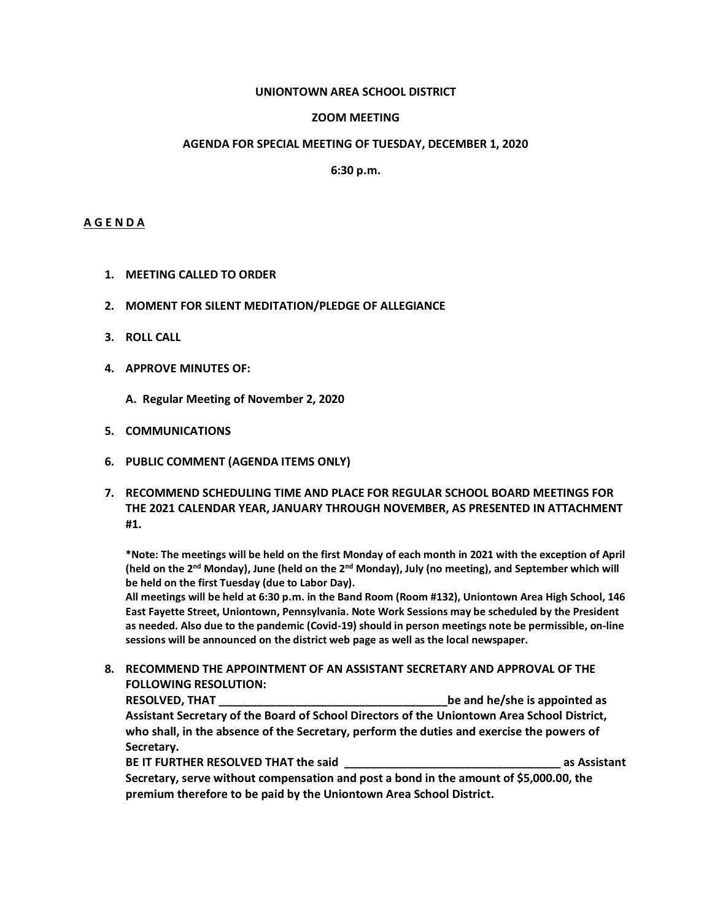#### **UNIONTOWN AREA SCHOOL DISTRICT**

### **ZOOM MEETING**

#### **AGENDA FOR SPECIAL MEETING OF TUESDAY, DECEMBER 1, 2020**

### **6:30 p.m.**

### **A G E N D A**

- **1. MEETING CALLED TO ORDER**
- **2. MOMENT FOR SILENT MEDITATION/PLEDGE OF ALLEGIANCE**
- **3. ROLL CALL**
- **4. APPROVE MINUTES OF:**
	- **A. Regular Meeting of November 2, 2020**
- **5. COMMUNICATIONS**
- **6. PUBLIC COMMENT (AGENDA ITEMS ONLY)**
- **7. RECOMMEND SCHEDULING TIME AND PLACE FOR REGULAR SCHOOL BOARD MEETINGS FOR THE 2021 CALENDAR YEAR, JANUARY THROUGH NOVEMBER, AS PRESENTED IN ATTACHMENT #1.**

**\*Note: The meetings will be held on the first Monday of each month in 2021 with the exception of April (held on the 2nd Monday), June (held on the 2nd Monday), July (no meeting), and September which will be held on the first Tuesday (due to Labor Day).**

**All meetings will be held at 6:30 p.m. in the Band Room (Room #132), Uniontown Area High School, 146 East Fayette Street, Uniontown, Pennsylvania. Note Work Sessions may be scheduled by the President as needed. Also due to the pandemic (Covid-19) should in person meetings note be permissible, on-line sessions will be announced on the district web page as well as the local newspaper.** 

**8. RECOMMEND THE APPOINTMENT OF AN ASSISTANT SECRETARY AND APPROVAL OF THE FOLLOWING RESOLUTION:**

**RESOLVED, THAT \_\_\_\_\_\_\_\_\_\_\_\_\_\_\_\_\_\_\_\_\_\_\_\_\_\_\_\_\_\_\_\_\_\_\_\_be and he/she is appointed as Assistant Secretary of the Board of School Directors of the Uniontown Area School District, who shall, in the absence of the Secretary, perform the duties and exercise the powers of Secretary.** 

**BE IT FURTHER RESOLVED THAT the said**  $\qquad \qquad$  **as Assistant Secretary, serve without compensation and post a bond in the amount of \$5,000.00, the** 

**premium therefore to be paid by the Uniontown Area School District.**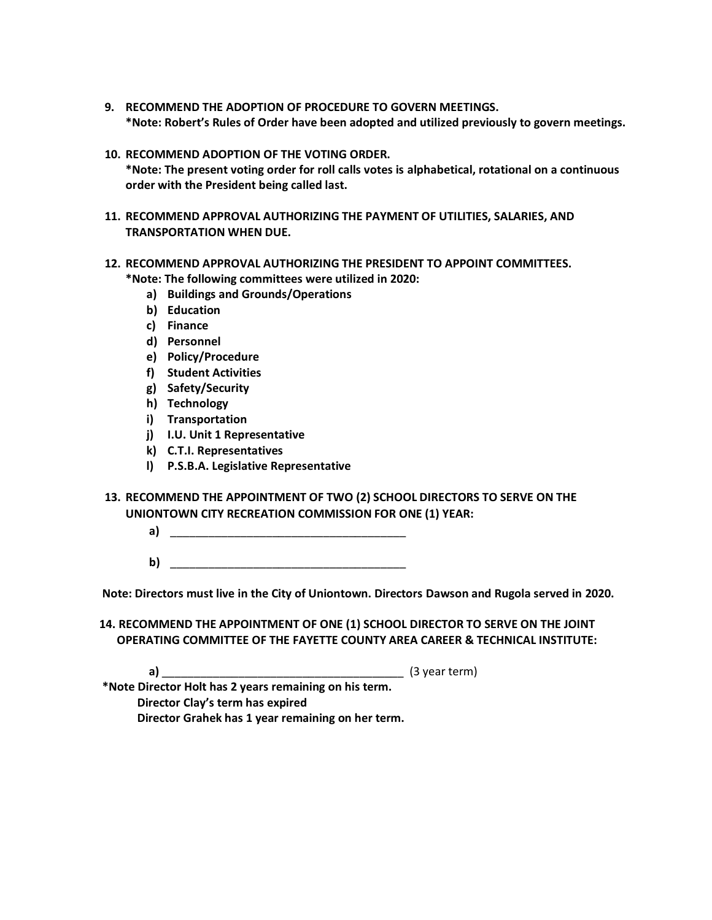- **9. RECOMMEND THE ADOPTION OF PROCEDURE TO GOVERN MEETINGS. \*Note: Robert's Rules of Order have been adopted and utilized previously to govern meetings.**
- **10. RECOMMEND ADOPTION OF THE VOTING ORDER.**
	- **\*Note: The present voting order for roll calls votes is alphabetical, rotational on a continuous order with the President being called last.**
- **11. RECOMMEND APPROVAL AUTHORIZING THE PAYMENT OF UTILITIES, SALARIES, AND TRANSPORTATION WHEN DUE.**
- **12. RECOMMEND APPROVAL AUTHORIZING THE PRESIDENT TO APPOINT COMMITTEES.**

**\*Note: The following committees were utilized in 2020:**

- **a) Buildings and Grounds/Operations**
- **b) Education**
- **c) Finance**
- **d) Personnel**
- **e) Policy/Procedure**
- **f) Student Activities**
- **g) Safety/Security**
- **h) Technology**
- **i) Transportation**
- **j) I.U. Unit 1 Representative**
- **k) C.T.I. Representatives**
- **l) P.S.B.A. Legislative Representative**
- **13. RECOMMEND THE APPOINTMENT OF TWO (2) SCHOOL DIRECTORS TO SERVE ON THE UNIONTOWN CITY RECREATION COMMISSION FOR ONE (1) YEAR:**
	- **a)** \_\_\_\_\_\_\_\_\_\_\_\_\_\_\_\_\_\_\_\_\_\_\_\_\_\_\_\_\_\_\_\_\_\_\_\_\_
	- **b**)

**Note: Directors must live in the City of Uniontown. Directors Dawson and Rugola served in 2020.**

**14. RECOMMEND THE APPOINTMENT OF ONE (1) SCHOOL DIRECTOR TO SERVE ON THE JOINT OPERATING COMMITTEE OF THE FAYETTE COUNTY AREA CAREER & TECHNICAL INSTITUTE:**

**a)** \_\_\_\_\_\_\_\_\_\_\_\_\_\_\_\_\_\_\_\_\_\_\_\_\_\_\_\_\_\_\_\_\_\_\_\_\_\_ (3 year term)

**\*Note Director Holt has 2 years remaining on his term. Director Clay's term has expired Director Grahek has 1 year remaining on her term.**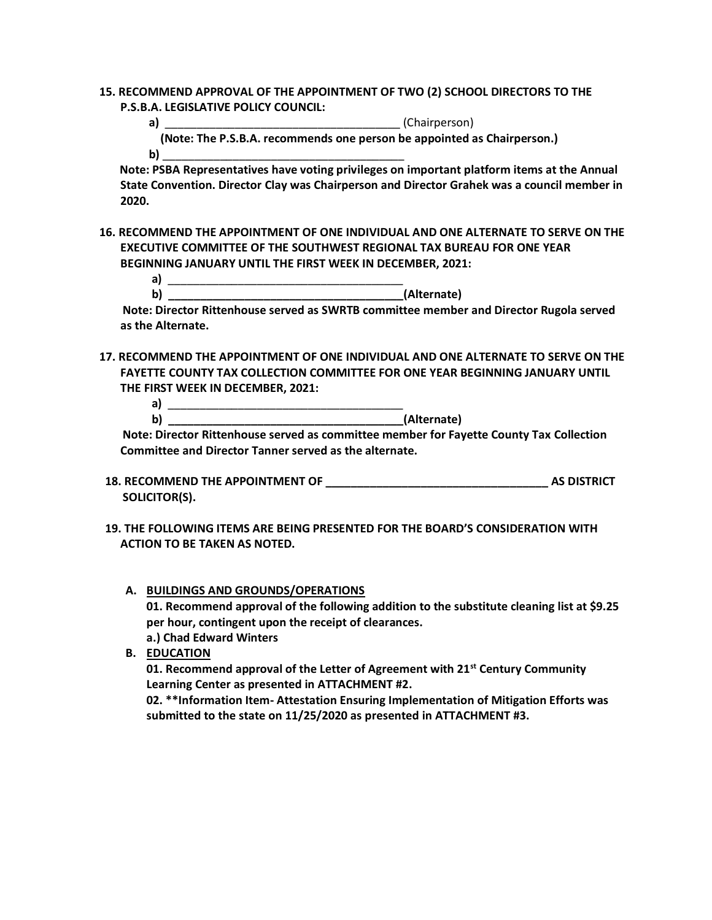**15. RECOMMEND APPROVAL OF THE APPOINTMENT OF TWO (2) SCHOOL DIRECTORS TO THE P.S.B.A. LEGISLATIVE POLICY COUNCIL:**

 **a)** \_\_\_\_\_\_\_\_\_\_\_\_\_\_\_\_\_\_\_\_\_\_\_\_\_\_\_\_\_\_\_\_\_\_\_\_\_ (Chairperson)  **(Note: The P.S.B.A. recommends one person be appointed as Chairperson.) b)** \_\_\_\_\_\_\_\_\_\_\_\_\_\_\_\_\_\_\_\_\_\_\_\_\_\_\_\_\_\_\_\_\_\_\_\_\_\_

 **Note: PSBA Representatives have voting privileges on important platform items at the Annual State Convention. Director Clay was Chairperson and Director Grahek was a council member in 2020.**

**16. RECOMMEND THE APPOINTMENT OF ONE INDIVIDUAL AND ONE ALTERNATE TO SERVE ON THE EXECUTIVE COMMITTEE OF THE SOUTHWEST REGIONAL TAX BUREAU FOR ONE YEAR BEGINNING JANUARY UNTIL THE FIRST WEEK IN DECEMBER, 2021:**

| . .<br> | AITAR<br>rnatel<br>---<br>-- |
|---------|------------------------------|

 **Note: Director Rittenhouse served as SWRTB committee member and Director Rugola served as the Alternate.**

**17. RECOMMEND THE APPOINTMENT OF ONE INDIVIDUAL AND ONE ALTERNATE TO SERVE ON THE FAYETTE COUNTY TAX COLLECTION COMMITTEE FOR ONE YEAR BEGINNING JANUARY UNTIL THE FIRST WEEK IN DECEMBER, 2021:**

 **a)** \_\_\_\_\_\_\_\_\_\_\_\_\_\_\_\_\_\_\_\_\_\_\_\_\_\_\_\_\_\_\_\_\_\_\_\_\_ **b**) (Alternate)

 **Note: Director Rittenhouse served as committee member for Fayette County Tax Collection Committee and Director Tanner served as the alternate.**

- **18. RECOMMEND THE APPOINTMENT OF \_\_\_\_\_\_\_\_\_\_\_\_\_\_\_\_\_\_\_\_\_\_\_\_\_\_\_\_\_\_\_\_\_\_\_ AS DISTRICT SOLICITOR(S).**
- **19. THE FOLLOWING ITEMS ARE BEING PRESENTED FOR THE BOARD'S CONSIDERATION WITH ACTION TO BE TAKEN AS NOTED.**
	- **A. BUILDINGS AND GROUNDS/OPERATIONS 01. Recommend approval of the following addition to the substitute cleaning list at \$9.25 per hour, contingent upon the receipt of clearances. a.) Chad Edward Winters**

**B. EDUCATION**

**01. Recommend approval of the Letter of Agreement with 21st Century Community Learning Center as presented in ATTACHMENT #2.**

**02. \*\*Information Item- Attestation Ensuring Implementation of Mitigation Efforts was submitted to the state on 11/25/2020 as presented in ATTACHMENT #3.**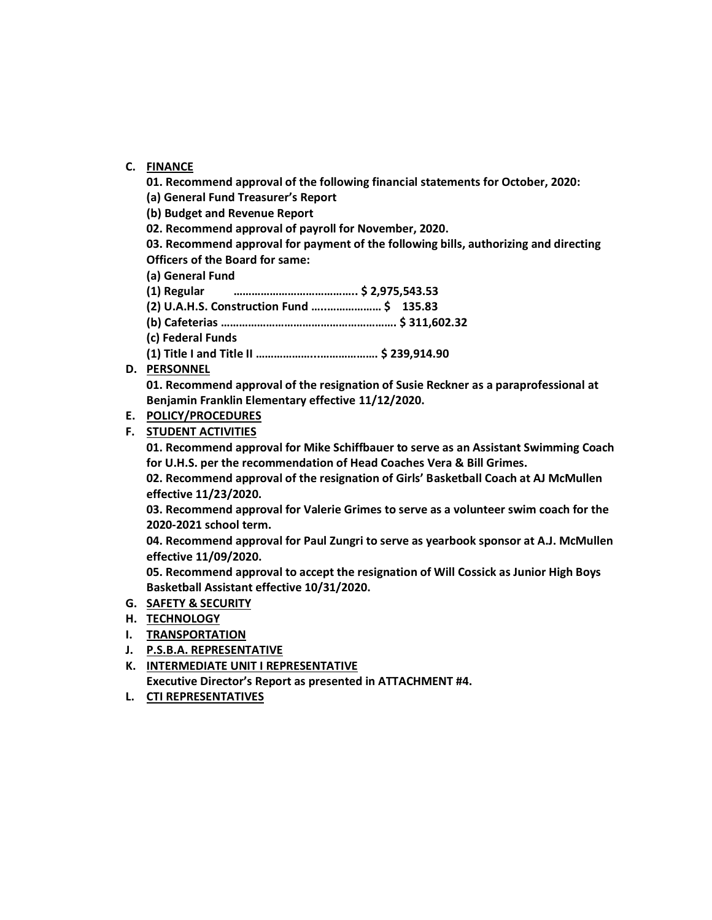# **C. FINANCE**

**01. Recommend approval of the following financial statements for October, 2020:** 

**(a) General Fund Treasurer's Report**

**(b) Budget and Revenue Report**

**02. Recommend approval of payroll for November, 2020.**

**03. Recommend approval for payment of the following bills, authorizing and directing Officers of the Board for same:**

**(a) General Fund**

- **(1) Regular ………………………………….. \$ 2,975,543.53**
- **(2) U.A.H.S. Construction Fund …..……………… \$ 135.83**
- **(b) Cafeterias …………………………………………………. \$ 311,602.32**

**(c) Federal Funds**

**(1) Title I and Title II ………………...………………. \$ 239,914.90**

# **D. PERSONNEL**

**01. Recommend approval of the resignation of Susie Reckner as a paraprofessional at Benjamin Franklin Elementary effective 11/12/2020.**

# **E. POLICY/PROCEDURES**

# **F. STUDENT ACTIVITIES**

**01. Recommend approval for Mike Schiffbauer to serve as an Assistant Swimming Coach for U.H.S. per the recommendation of Head Coaches Vera & Bill Grimes.**

**02. Recommend approval of the resignation of Girls' Basketball Coach at AJ McMullen effective 11/23/2020.**

**03. Recommend approval for Valerie Grimes to serve as a volunteer swim coach for the 2020-2021 school term.**

**04. Recommend approval for Paul Zungri to serve as yearbook sponsor at A.J. McMullen effective 11/09/2020.**

**05. Recommend approval to accept the resignation of Will Cossick as Junior High Boys Basketball Assistant effective 10/31/2020.**

### **G. SAFETY & SECURITY**

- **H. TECHNOLOGY**
- **I. TRANSPORTATION**
- **J. P.S.B.A. REPRESENTATIVE**
- **K. INTERMEDIATE UNIT I REPRESENTATIVE Executive Director's Report as presented in ATTACHMENT #4.**
- **L. CTI REPRESENTATIVES**